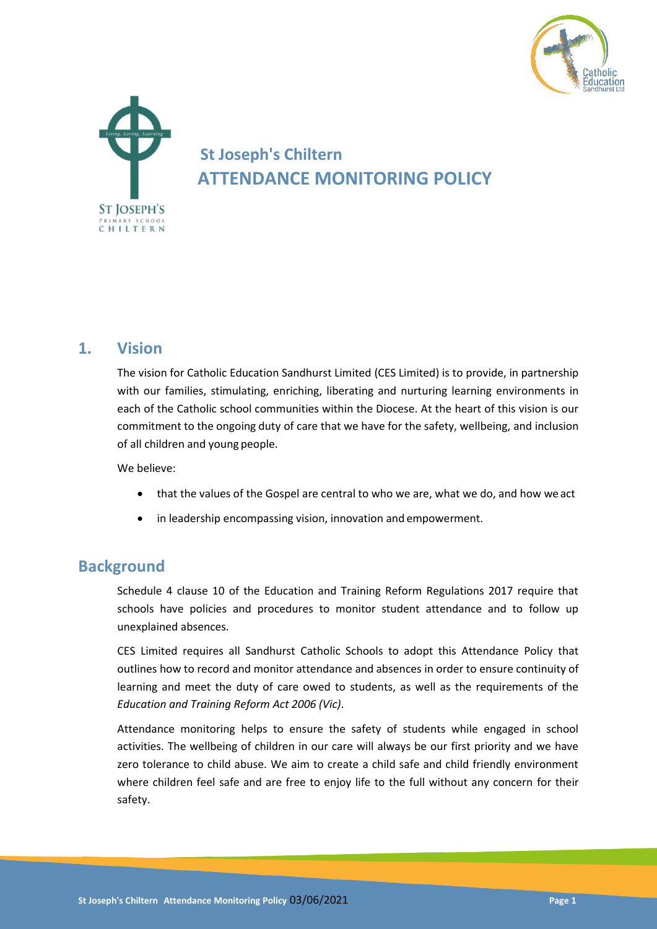



# **St Joseph's Chiltern ATTENDANCE MONITORING POLICY**

### **1. Vision**

The vision for Catholic Education Sandhurst Limited (CES Limited) is to provide, in partnership with our families, stimulating, enriching, liberating and nurturing learning environments in each of the Catholic school communities within the Diocese. At the heart of this vision is our commitment to the ongoing duty of care that we have for the safety, wellbeing, and inclusion of all children and young people.

We believe:

- that the values of the Gospel are central to who we are, what we do, and how we act
- in leadership encompassing vision, innovation and empowerment.

### **Background**

Schedule 4 clause 10 of the Education and Training Reform Regulations 2017 require that schools have policies and procedures to monitor student attendance and to follow up unexplained absences.

CES Limited requires all Sandhurst Catholic Schools to adopt this Attendance Policy that outlines how to record and monitor attendance and absences in order to ensure continuity of learning and meet the duty of care owed to students, as well as the requirements of the *Education and Training Reform Act 2006 (Vic)*.

Attendance monitoring helps to ensure the safety of students while engaged in school activities. The wellbeing of children in our care will always be our first priority and we have zero tolerance to child abuse. We aim to create a child safe and child friendly environment where children feel safe and are free to enjoy life to the full without any concern for their safety.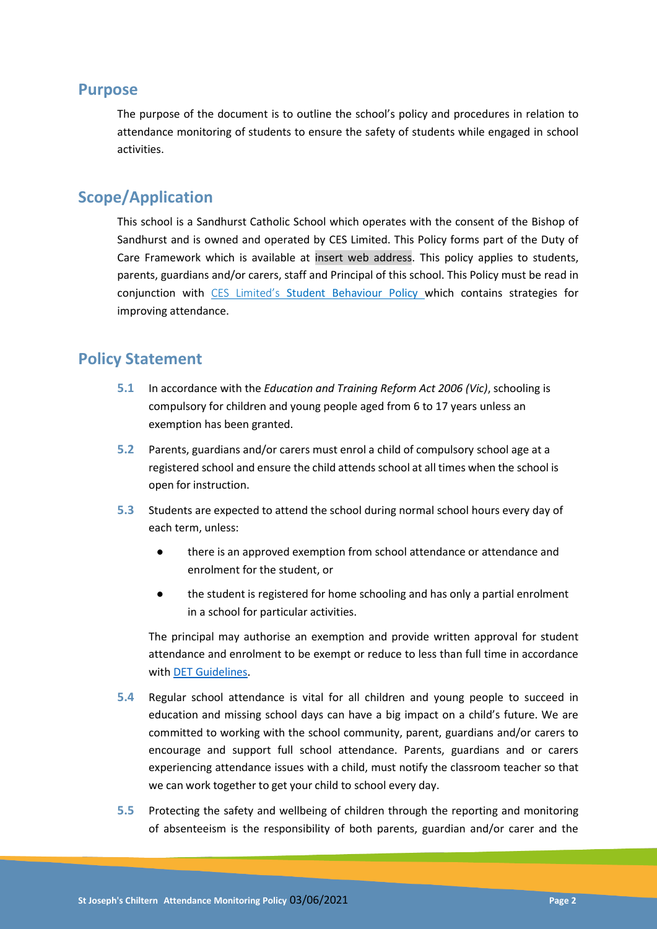#### **Purpose**

The purpose of the document is to outline the school's policy and procedures in relation to attendance monitoring of students to ensure the safety of students while engaged in school activities.

## **Scope/Application**

This school is a Sandhurst Catholic School which operates with the consent of the Bishop of Sandhurst and is owned and operated by CES Limited. This Policy forms part of the Duty of Care Framework which is available at insert web address. This policy applies to students, parents, guardians and/or carers, staff and Principal of this school. This Policy must be read in conjunction with CES Limited's Student Behaviour Policy which contains strategies for improving attendance.

### **Policy Statement**

- **5.1** In accordance with the *Education and Training Reform Act 2006 (Vic)*, schooling is compulsory for children and young people aged from 6 to 17 years unless an exemption has been granted.
- **5.2** Parents, guardians and/or carers must enrol a child of compulsory school age at a registered school and ensure the child attends school at all times when the school is open for instruction.
- **5.3** Students are expected to attend the school during normal school hours every day of each term, unless:
	- there is an approved exemption from school attendance or attendance and enrolment for the student, or
	- the student is registered for home schooling and has only a partial enrolment in a school for particular activities.

The principal may authorise an exemption and provide written approval for student attendance and enrolment to be exempt or reduce to less than full time in accordance with [DET Guidelines.](https://www2.education.vic.gov.au/pal/exemption-school-attendance-and-enrolment/guidance)

- **5.4** Regular school attendance is vital for all children and young people to succeed in education and missing school days can have a big impact on a child's future. We are committed to working with the school community, parent, guardians and/or carers to encourage and support full school attendance. Parents, guardians and or carers experiencing attendance issues with a child, must notify the classroom teacher so that we can work together to get your child to school every day.
- **5.5** Protecting the safety and wellbeing of children through the reporting and monitoring of absenteeism is the responsibility of both parents, guardian and/or carer and the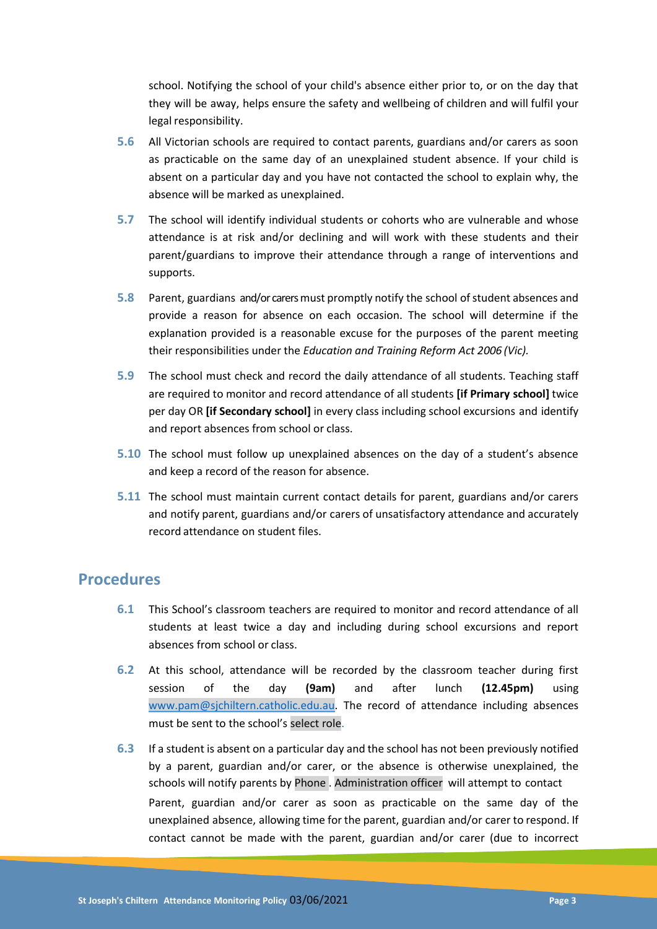school. Notifying the school of your child's absence either prior to, or on the day that they will be away, helps ensure the safety and wellbeing of children and will fulfil your legal responsibility.

- **5.6** All Victorian schools are required to contact parents, guardians and/or carers as soon as practicable on the same day of an unexplained student absence. If your child is absent on a particular day and you have not contacted the school to explain why, the absence will be marked as unexplained.
- **5.7** The school will identify individual students or cohorts who are vulnerable and whose attendance is at risk and/or declining and will work with these students and their parent/guardians to improve their attendance through a range of interventions and supports.
- **5.8** Parent, guardians and/or carers must promptly notify the school of student absences and provide a reason for absence on each occasion. The school will determine if the explanation provided is a reasonable excuse for the purposes of the parent meeting their responsibilities under the *Education and Training Reform Act 2006 (Vic).*
- **5.9** The school must check and record the daily attendance of all students. Teaching staff are required to monitor and record attendance of all students **[if Primary school]** twice per day OR **[if Secondary school]** in every class including school excursions and identify and report absences from school or class.
- **5.10** The school must follow up unexplained absences on the day of a student's absence and keep a record of the reason for absence.
- **5.11** The school must maintain current contact details for parent, guardians and/or carers and notify parent, guardians and/or carers of unsatisfactory attendance and accurately record attendance on student files.

### **Procedures**

- **6.1** This School's classroom teachers are required to monitor and record attendance of all students at least twice a day and including during school excursions and report absences from school or class.
- **6.2** At this school, attendance will be recorded by the classroom teacher during first session of the day **(9am)** and after lunch **(12.45pm)** using [www.pam@sjchiltern.catholic.edu.au.](www.pam@sjchiltern.catholic.edu.au) The record of attendance including absences must be sent to the school's select role.
- **6.3** If a student is absent on a particular day and the school has not been previously notified by a parent, guardian and/or carer, or the absence is otherwise unexplained, the schools will notify parents by Phone . Administration officer will attempt to contact Parent, guardian and/or carer as soon as practicable on the same day of the unexplained absence, allowing time for the parent, guardian and/or carer to respond. If contact cannot be made with the parent, guardian and/or carer (due to incorrect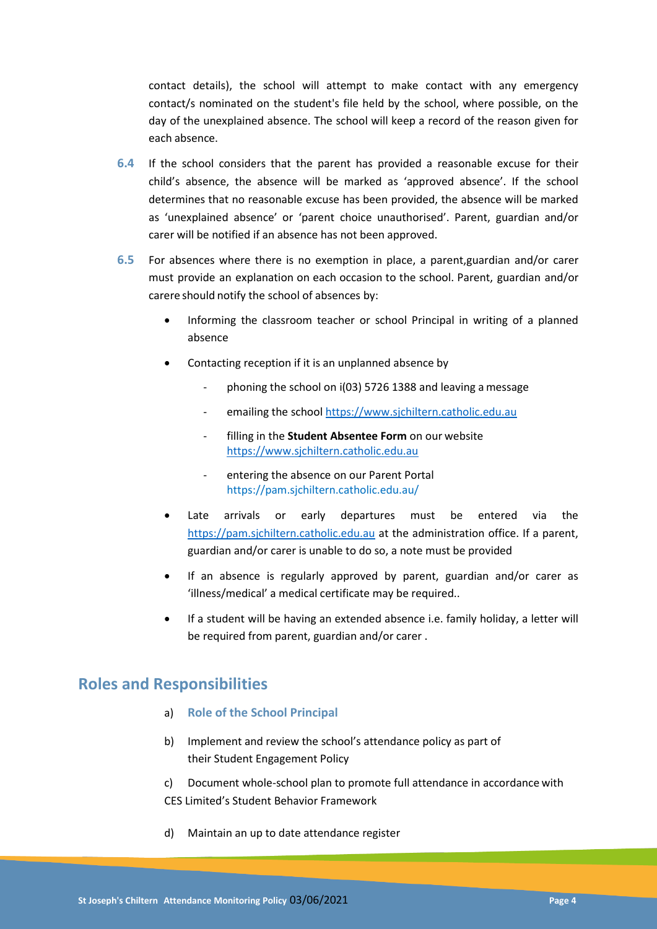contact details), the school will attempt to make contact with any emergency contact/s nominated on the student's file held by the school, where possible, on the day of the unexplained absence. The school will keep a record of the reason given for each absence.

- **6.4** If the school considers that the parent has provided a reasonable excuse for their child's absence, the absence will be marked as 'approved absence'. If the school determines that no reasonable excuse has been provided, the absence will be marked as 'unexplained absence' or 'parent choice unauthorised'. Parent, guardian and/or carer will be notified if an absence has not been approved.
- **6.5** For absences where there is no exemption in place, a parent,guardian and/or carer must provide an explanation on each occasion to the school. Parent, guardian and/or carere should notify the school of absences by:
	- Informing the classroom teacher or school Principal in writing of a planned absence
	- Contacting reception if it is an unplanned absence by
		- phoning the school on i(03) 5726 1388 and leaving a message
		- emailing the school [https://www.sjchiltern.catholic.edu.au](http://www.sjchiltern.catholic.edu.au/)
		- filling in the **Student Absentee Form** on our website [https://www.sjchiltern.catholic.edu.au](https://www.sjchiltern.catholic.edu.au/)
		- entering the absence on our Parent Portal https://pam.sjchiltern.catholic.edu.au/
	- Late arrivals or early departures must be entered via the [https://pam.sjchiltern.catholic.edu.au](https://wwwpam.sjchiltern.catholic.edu.au/) at the administration office. If a parent, guardian and/or carer is unable to do so, a note must be provided
	- If an absence is regularly approved by parent, guardian and/or carer as 'illness/medical' a medical certificate may be required..
	- If a student will be having an extended absence i.e. family holiday, a letter will be required from parent, guardian and/or carer .

### **Roles and Responsibilities**

- a) **Role of the School Principal**
- b) Implement and review the school's attendance policy as part of their Student Engagement Policy

c) Document whole-school plan to promote full attendance in accordance with CES Limited's Student Behavior Framework

d) Maintain an up to date attendance register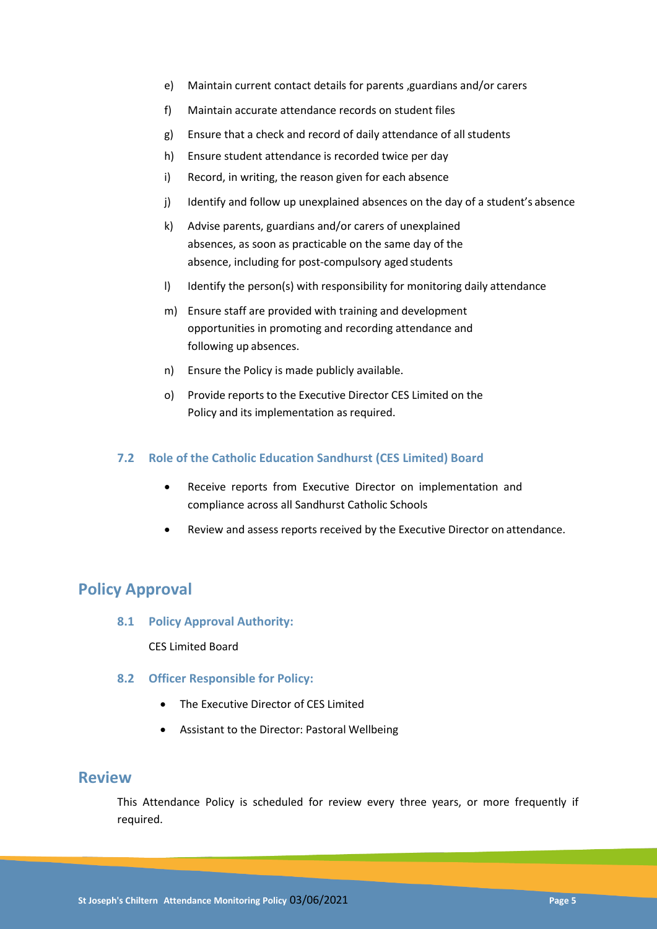- e) Maintain current contact details for parents ,guardians and/or carers
- f) Maintain accurate attendance records on student files
- g) Ensure that a check and record of daily attendance of all students
- h) Ensure student attendance is recorded twice per day
- i) Record, in writing, the reason given for each absence
- j) Identify and follow up unexplained absences on the day of a student's absence
- k) Advise parents, guardians and/or carers of unexplained absences, as soon as practicable on the same day of the absence, including for post-compulsory aged students
- l) Identify the person(s) with responsibility for monitoring daily attendance
- m) Ensure staff are provided with training and development opportunities in promoting and recording attendance and following up absences.
- n) Ensure the Policy is made publicly available.
- o) Provide reports to the Executive Director CES Limited on the Policy and its implementation as required.

#### **7.2 Role of the Catholic Education Sandhurst (CES Limited) Board**

- Receive reports from Executive Director on implementation and compliance across all Sandhurst Catholic Schools
- Review and assess reports received by the Executive Director on attendance.

# **Policy Approval**

**8.1 Policy Approval Authority:**

CES Limited Board

- **8.2 Officer Responsible for Policy:**
	- The Executive Director of CES Limited
	- Assistant to the Director: Pastoral Wellbeing

#### **Review**

This Attendance Policy is scheduled for review every three years, or more frequently if required.